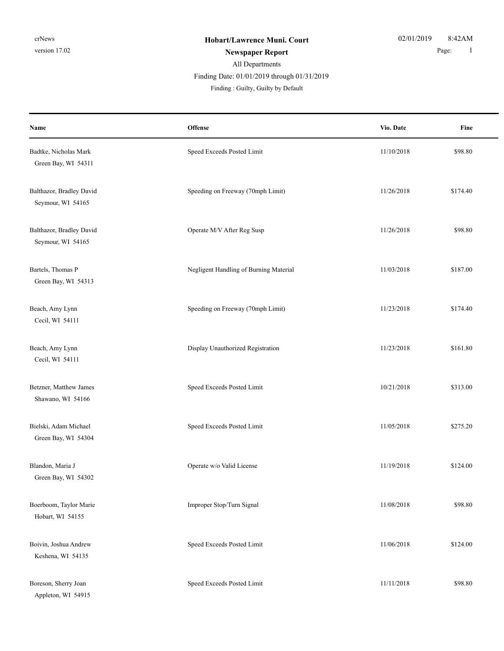| Name                                          | Offense                                | Vio. Date  | Fine     |
|-----------------------------------------------|----------------------------------------|------------|----------|
| Badtke, Nicholas Mark<br>Green Bay, WI 54311  | Speed Exceeds Posted Limit             | 11/10/2018 | \$98.80  |
| Balthazor, Bradley David<br>Seymour, WI 54165 | Speeding on Freeway (70mph Limit)      | 11/26/2018 | \$174.40 |
| Balthazor, Bradley David<br>Seymour, WI 54165 | Operate M/V After Reg Susp             | 11/26/2018 | \$98.80  |
| Bartels, Thomas P<br>Green Bay, WI 54313      | Negligent Handling of Burning Material | 11/03/2018 | \$187.00 |
| Beach, Amy Lynn<br>Cecil, WI 54111            | Speeding on Freeway (70mph Limit)      | 11/23/2018 | \$174.40 |
| Beach, Amy Lynn<br>Cecil, WI 54111            | Display Unauthorized Registration      | 11/23/2018 | \$161.80 |
| Betzner, Matthew James<br>Shawano, WI 54166   | Speed Exceeds Posted Limit             | 10/21/2018 | \$313.00 |
| Bielski, Adam Michael<br>Green Bay, WI 54304  | Speed Exceeds Posted Limit             | 11/05/2018 | \$275.20 |
| Blandon, Maria J<br>Green Bay, WI 54302       | Operate w/o Valid License              | 11/19/2018 | \$124.00 |
| Boerboom, Taylor Marie<br>Hobart, WI 54155    | Improper Stop/Turn Signal              | 11/08/2018 | \$98.80  |
| Boivin, Joshua Andrew<br>Keshena, WI 54135    | Speed Exceeds Posted Limit             | 11/06/2018 | \$124.00 |
| Boreson, Sherry Joan<br>Appleton, WI 54915    | Speed Exceeds Posted Limit             | 11/11/2018 | \$98.80  |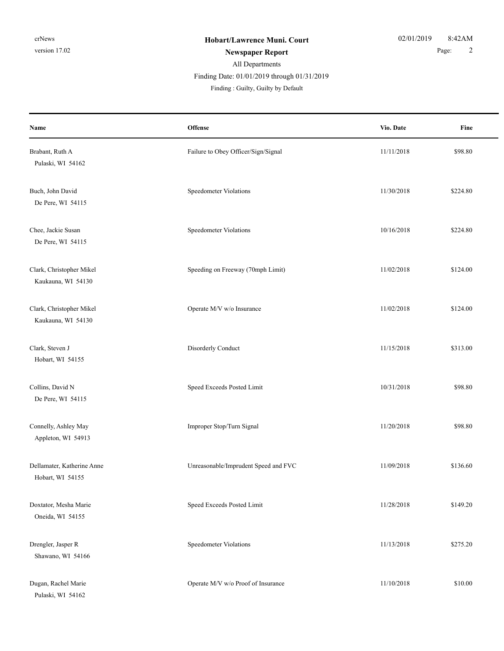| Name                                           | Offense                              | Vio. Date  | Fine     |
|------------------------------------------------|--------------------------------------|------------|----------|
| Brabant, Ruth A<br>Pulaski, WI 54162           | Failure to Obey Officer/Sign/Signal  | 11/11/2018 | \$98.80  |
| Buch, John David<br>De Pere, WI 54115          | Speedometer Violations               | 11/30/2018 | \$224.80 |
| Chee, Jackie Susan<br>De Pere, WI 54115        | Speedometer Violations               | 10/16/2018 | \$224.80 |
| Clark, Christopher Mikel<br>Kaukauna, WI 54130 | Speeding on Freeway (70mph Limit)    | 11/02/2018 | \$124.00 |
| Clark, Christopher Mikel<br>Kaukauna, WI 54130 | Operate M/V w/o Insurance            | 11/02/2018 | \$124.00 |
| Clark, Steven J<br>Hobart, WI 54155            | Disorderly Conduct                   | 11/15/2018 | \$313.00 |
| Collins, David N<br>De Pere, WI 54115          | Speed Exceeds Posted Limit           | 10/31/2018 | \$98.80  |
| Connelly, Ashley May<br>Appleton, WI 54913     | Improper Stop/Turn Signal            | 11/20/2018 | \$98.80  |
| Dellamater, Katherine Anne<br>Hobart, WI 54155 | Unreasonable/Imprudent Speed and FVC | 11/09/2018 | \$136.60 |
| Doxtator, Mesha Marie<br>Oneida, WI 54155      | Speed Exceeds Posted Limit           | 11/28/2018 | \$149.20 |
| Drengler, Jasper R<br>Shawano, WI 54166        | Speedometer Violations               | 11/13/2018 | \$275.20 |
| Dugan, Rachel Marie<br>Pulaski, WI 54162       | Operate M/V w/o Proof of Insurance   | 11/10/2018 | \$10.00  |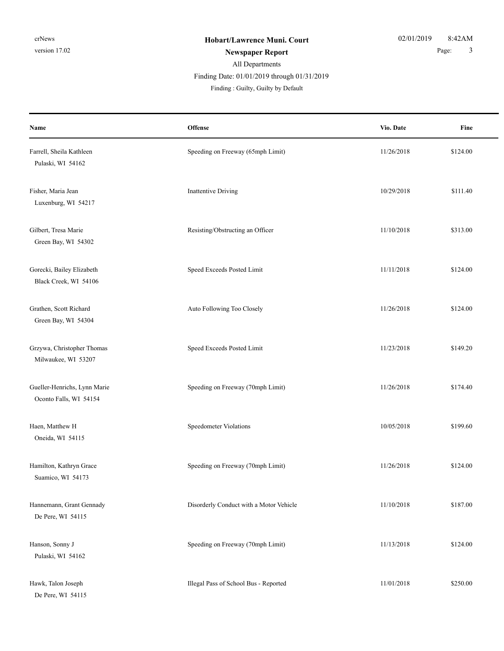| Name                                                   | Offense                                 | Vio. Date  | Fine     |
|--------------------------------------------------------|-----------------------------------------|------------|----------|
| Farrell, Sheila Kathleen<br>Pulaski, WI 54162          | Speeding on Freeway (65mph Limit)       | 11/26/2018 | \$124.00 |
| Fisher, Maria Jean<br>Luxenburg, WI 54217              | <b>Inattentive Driving</b>              | 10/29/2018 | \$111.40 |
| Gilbert, Tresa Marie<br>Green Bay, WI 54302            | Resisting/Obstructing an Officer        | 11/10/2018 | \$313.00 |
| Gorecki, Bailey Elizabeth<br>Black Creek, WI 54106     | Speed Exceeds Posted Limit              | 11/11/2018 | \$124.00 |
| Grathen, Scott Richard<br>Green Bay, WI 54304          | Auto Following Too Closely              | 11/26/2018 | \$124.00 |
| Grzywa, Christopher Thomas<br>Milwaukee, WI 53207      | Speed Exceeds Posted Limit              | 11/23/2018 | \$149.20 |
| Gueller-Henrichs, Lynn Marie<br>Oconto Falls, WI 54154 | Speeding on Freeway (70mph Limit)       | 11/26/2018 | \$174.40 |
| Haen, Matthew H<br>Oneida, WI 54115                    | Speedometer Violations                  | 10/05/2018 | \$199.60 |
| Hamilton, Kathryn Grace<br>Suamico, WI 54173           | Speeding on Freeway (70mph Limit)       | 11/26/2018 | \$124.00 |
| Hannemann, Grant Gennady<br>De Pere, WI 54115          | Disorderly Conduct with a Motor Vehicle | 11/10/2018 | \$187.00 |
| Hanson, Sonny J<br>Pulaski, WI 54162                   | Speeding on Freeway (70mph Limit)       | 11/13/2018 | \$124.00 |
| Hawk, Talon Joseph<br>De Pere, WI 54115                | Illegal Pass of School Bus - Reported   | 11/01/2018 | \$250.00 |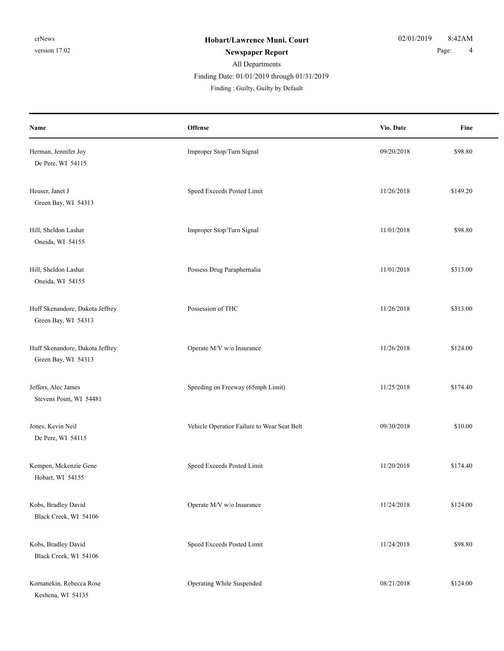#### All Departments **Newspaper Report** 2 and 2 and 2 and 2 and 2 and 2 and 2 and 2 and 2 and 2 and 2 and 2 and 2 and 2 and 2 and 2 and 2 and 2 and 2 and 2 and 2 and 2 and 2 and 2 and 2 and 2 and 2 and 2 and 2 and 2 and 2 and 2 and 2 and 2 and Finding : Guilty, Guilty by Default Finding Date: 01/01/2019 through 01/31/2019

| Name                                                   | Offense                                     | Vio. Date  | Fine     |
|--------------------------------------------------------|---------------------------------------------|------------|----------|
| Herman, Jennifer Joy<br>De Pere, WI 54115              | Improper Stop/Turn Signal                   | 09/20/2018 | \$98.80  |
| Heuser, Janet J<br>Green Bay, WI 54313                 | Speed Exceeds Posted Limit                  | 11/26/2018 | \$149.20 |
| Hill, Sheldon Lashat<br>Oneida, WI 54155               | Improper Stop/Turn Signal                   | 11/01/2018 | \$98.80  |
| Hill, Sheldon Lashat<br>Oneida, WI 54155               | Possess Drug Paraphernalia                  | 11/01/2018 | \$313.00 |
| Huff Skenandore, Dakota Jeffrey<br>Green Bay, WI 54313 | Possession of THC                           | 11/26/2018 | \$313.00 |
| Huff Skenandore, Dakota Jeffrey<br>Green Bay, WI 54313 | Operate M/V w/o Insurance                   | 11/26/2018 | \$124.00 |
| Jeffers, Alec James<br>Stevens Point, WI 54481         | Speeding on Freeway (65mph Limit)           | 11/25/2018 | \$174.40 |
| Jones, Kevin Neil<br>De Pere, WI 54115                 | Vehicle Operatior Failure to Wear Seat Belt | 09/30/2018 | \$10.00  |
| Kempen, Mckenzie Gene<br>Hobart, WI 54155              | Speed Exceeds Posted Limit                  | 11/20/2018 | \$174.40 |
| Kobs, Bradley David<br>Black Creek, WI 54106           | Operate M/V w/o Insurance                   | 11/24/2018 | \$124.00 |
| Kobs, Bradley David<br>Black Creek, WI 54106           | Speed Exceeds Posted Limit                  | 11/24/2018 | \$98.80  |
| Komanekin, Rebecca Rose<br>Keshena, WI 54135           | Operating While Suspended                   | 08/21/2018 | \$124.00 |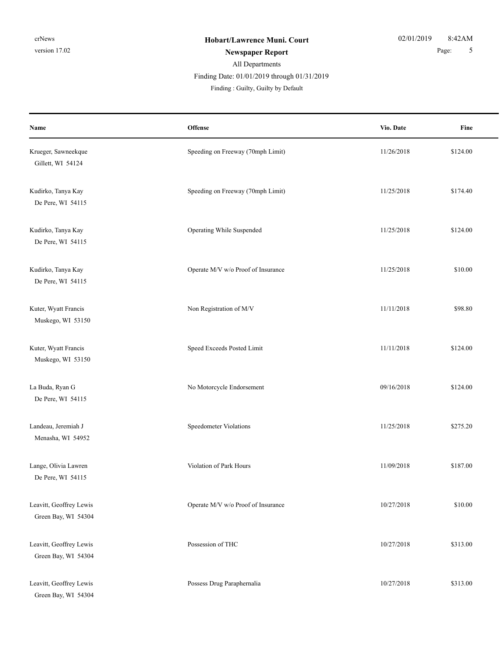| Name                                           | Offense                            | Vio. Date  | Fine     |
|------------------------------------------------|------------------------------------|------------|----------|
| Krueger, Sawneekque<br>Gillett, WI 54124       | Speeding on Freeway (70mph Limit)  | 11/26/2018 | \$124.00 |
| Kudirko, Tanya Kay<br>De Pere, WI 54115        | Speeding on Freeway (70mph Limit)  | 11/25/2018 | \$174.40 |
| Kudirko, Tanya Kay<br>De Pere, WI 54115        | Operating While Suspended          | 11/25/2018 | \$124.00 |
| Kudirko, Tanya Kay<br>De Pere, WI 54115        | Operate M/V w/o Proof of Insurance | 11/25/2018 | \$10.00  |
| Kuter, Wyatt Francis<br>Muskego, WI 53150      | Non Registration of M/V            | 11/11/2018 | \$98.80  |
| Kuter, Wyatt Francis<br>Muskego, WI 53150      | Speed Exceeds Posted Limit         | 11/11/2018 | \$124.00 |
| La Buda, Ryan G<br>De Pere, WI 54115           | No Motorcycle Endorsement          | 09/16/2018 | \$124.00 |
| Landeau, Jeremiah J<br>Menasha, WI 54952       | Speedometer Violations             | 11/25/2018 | \$275.20 |
| Lange, Olivia Lawren<br>De Pere, WI 54115      | Violation of Park Hours            | 11/09/2018 | \$187.00 |
| Leavitt, Geoffrey Lewis<br>Green Bay, WI 54304 | Operate M/V w/o Proof of Insurance | 10/27/2018 | \$10.00  |
| Leavitt, Geoffrey Lewis<br>Green Bay, WI 54304 | Possession of THC                  | 10/27/2018 | \$313.00 |
| Leavitt, Geoffrey Lewis<br>Green Bay, WI 54304 | Possess Drug Paraphernalia         | 10/27/2018 | \$313.00 |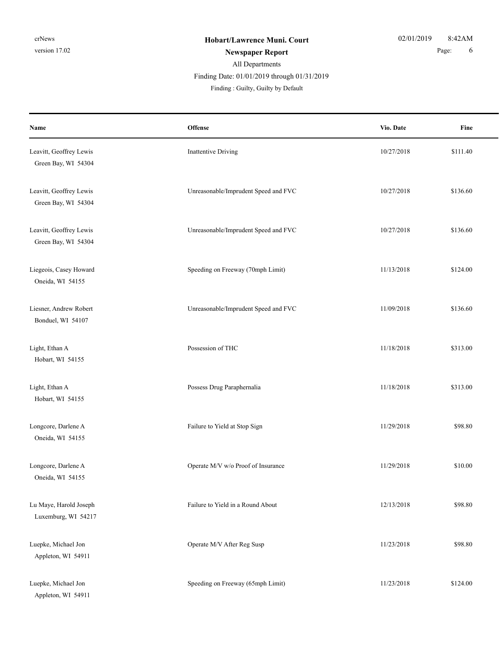## All Departments Finding Date: 01/01/2019 through 01/31/2019

Finding : Guilty, Guilty by Default

| Name                                           | <b>Offense</b>                       | Vio. Date  | Fine     |
|------------------------------------------------|--------------------------------------|------------|----------|
| Leavitt, Geoffrey Lewis<br>Green Bay, WI 54304 | Inattentive Driving                  | 10/27/2018 | \$111.40 |
| Leavitt, Geoffrey Lewis<br>Green Bay, WI 54304 | Unreasonable/Imprudent Speed and FVC | 10/27/2018 | \$136.60 |
| Leavitt, Geoffrey Lewis<br>Green Bay, WI 54304 | Unreasonable/Imprudent Speed and FVC | 10/27/2018 | \$136.60 |
| Liegeois, Casey Howard<br>Oneida, WI 54155     | Speeding on Freeway (70mph Limit)    | 11/13/2018 | \$124.00 |
| Liesner, Andrew Robert<br>Bonduel, WI 54107    | Unreasonable/Imprudent Speed and FVC | 11/09/2018 | \$136.60 |
| Light, Ethan A<br>Hobart, WI 54155             | Possession of THC                    | 11/18/2018 | \$313.00 |
| Light, Ethan A<br>Hobart, WI 54155             | Possess Drug Paraphernalia           | 11/18/2018 | \$313.00 |
| Longcore, Darlene A<br>Oneida, WI 54155        | Failure to Yield at Stop Sign        | 11/29/2018 | \$98.80  |
| Longcore, Darlene A<br>Oneida, WI 54155        | Operate M/V w/o Proof of Insurance   | 11/29/2018 | \$10.00  |
| Lu Maye, Harold Joseph<br>Luxemburg, WI 54217  | Failure to Yield in a Round About    | 12/13/2018 | \$98.80  |
| Luepke, Michael Jon<br>Appleton, WI 54911      | Operate M/V After Reg Susp           | 11/23/2018 | \$98.80  |
| Luepke, Michael Jon<br>Appleton, WI 54911      | Speeding on Freeway (65mph Limit)    | 11/23/2018 | \$124.00 |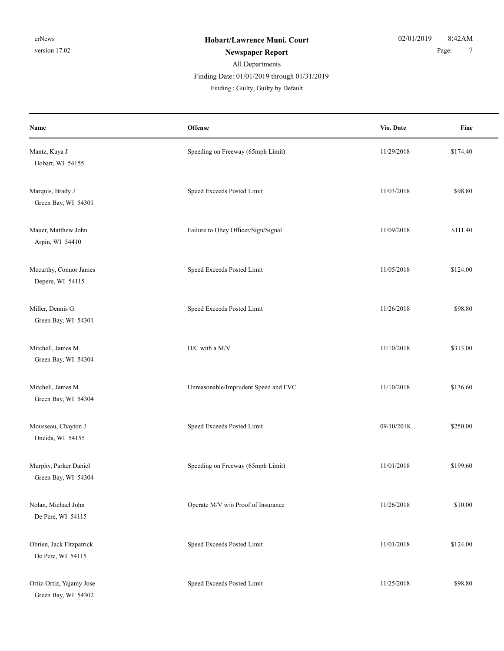| Name                                            | <b>Offense</b>                       | Vio. Date  | Fine     |
|-------------------------------------------------|--------------------------------------|------------|----------|
| Mantz, Kaya J<br>Hobart, WI 54155               | Speeding on Freeway (65mph Limit)    | 11/29/2018 | \$174.40 |
| Marquis, Brady J<br>Green Bay, WI 54301         | Speed Exceeds Posted Limit           | 11/03/2018 | \$98.80  |
| Mauer, Matthew John<br>Arpin, WI 54410          | Failure to Obey Officer/Sign/Signal  | 11/09/2018 | \$111.40 |
| Mccarthy, Connor James<br>Depere, WI 54115      | Speed Exceeds Posted Limit           | 11/05/2018 | \$124.00 |
| Miller, Dennis G<br>Green Bay, WI 54301         | Speed Exceeds Posted Limit           | 11/26/2018 | \$98.80  |
| Mitchell, James M<br>Green Bay, WI 54304        | D/C with a M/V                       | 11/10/2018 | \$313.00 |
| Mitchell, James M<br>Green Bay, WI 54304        | Unreasonable/Imprudent Speed and FVC | 11/10/2018 | \$136.60 |
| Mousseau, Chayton J<br>Oneida, WI 54155         | Speed Exceeds Posted Limit           | 09/10/2018 | \$250.00 |
| Murphy, Parker Daniel<br>Green Bay, WI 54304    | Speeding on Freeway (65mph Limit)    | 11/01/2018 | \$199.60 |
| Nolan, Michael John<br>De Pere, WI 54115        | Operate M/V w/o Proof of Insurance   | 11/26/2018 | \$10.00  |
| Obrien, Jack Fitzpatrick<br>De Pere, WI 54115   | Speed Exceeds Posted Limit           | 11/01/2018 | \$124.00 |
| Ortiz-Ortiz, Yajamy Jose<br>Green Bay, WI 54302 | Speed Exceeds Posted Limit           | 11/25/2018 | \$98.80  |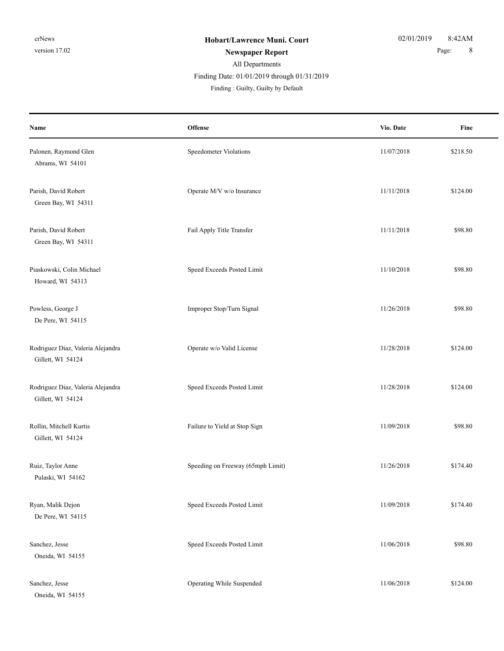# All Departments Finding Date: 01/01/2019 through 01/31/2019

Finding : Guilty, Guilty by Default

| Name                                                   | Offense                           | Vio. Date  | Fine     |
|--------------------------------------------------------|-----------------------------------|------------|----------|
| Palonen, Raymond Glen<br>Abrams, WI 54101              | Speedometer Violations            | 11/07/2018 | \$218.50 |
| Parish, David Robert<br>Green Bay, WI 54311            | Operate M/V w/o Insurance         | 11/11/2018 | \$124.00 |
| Parish, David Robert<br>Green Bay, WI 54311            | Fail Apply Title Transfer         | 11/11/2018 | \$98.80  |
| Piaskowski, Colin Michael<br>Howard, WI 54313          | Speed Exceeds Posted Limit        | 11/10/2018 | \$98.80  |
| Powless, George J<br>De Pere, WI 54115                 | Improper Stop/Turn Signal         | 11/26/2018 | \$98.80  |
| Rodriguez Diaz, Valeria Alejandra<br>Gillett, WI 54124 | Operate w/o Valid License         | 11/28/2018 | \$124.00 |
| Rodriguez Diaz, Valeria Alejandra<br>Gillett, WI 54124 | Speed Exceeds Posted Limit        | 11/28/2018 | \$124.00 |
| Rollin, Mitchell Kurtis<br>Gillett, WI 54124           | Failure to Yield at Stop Sign     | 11/09/2018 | \$98.80  |
| Ruiz, Taylor Anne<br>Pulaski, WI 54162                 | Speeding on Freeway (65mph Limit) | 11/26/2018 | \$174.40 |
| Ryan, Malik Dejon<br>De Pere, WI 54115                 | Speed Exceeds Posted Limit        | 11/09/2018 | \$174.40 |
| Sanchez, Jesse<br>Oneida, WI 54155                     | Speed Exceeds Posted Limit        | 11/06/2018 | \$98.80  |
| Sanchez, Jesse<br>Oneida, WI 54155                     | Operating While Suspended         | 11/06/2018 | \$124.00 |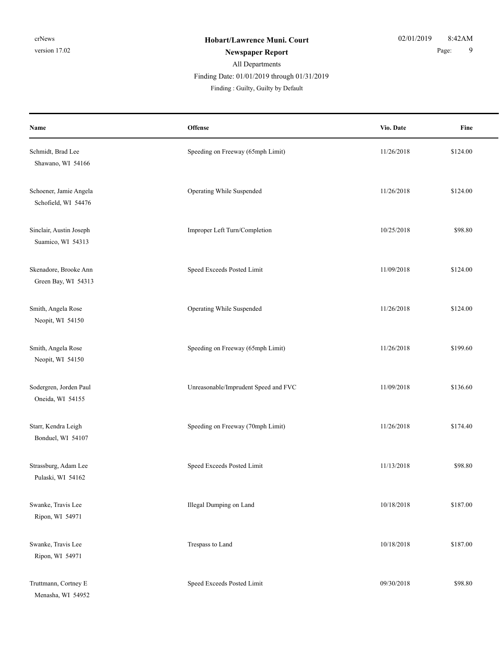| Name                                          | Offense                              | Vio. Date  | Fine     |
|-----------------------------------------------|--------------------------------------|------------|----------|
| Schmidt, Brad Lee<br>Shawano, WI 54166        | Speeding on Freeway (65mph Limit)    | 11/26/2018 | \$124.00 |
| Schoener, Jamie Angela<br>Schofield, WI 54476 | Operating While Suspended            | 11/26/2018 | \$124.00 |
| Sinclair, Austin Joseph<br>Suamico, WI 54313  | Improper Left Turn/Completion        | 10/25/2018 | \$98.80  |
| Skenadore, Brooke Ann<br>Green Bay, WI 54313  | Speed Exceeds Posted Limit           | 11/09/2018 | \$124.00 |
| Smith, Angela Rose<br>Neopit, WI 54150        | Operating While Suspended            | 11/26/2018 | \$124.00 |
| Smith, Angela Rose<br>Neopit, WI 54150        | Speeding on Freeway (65mph Limit)    | 11/26/2018 | \$199.60 |
| Sodergren, Jorden Paul<br>Oneida, WI 54155    | Unreasonable/Imprudent Speed and FVC | 11/09/2018 | \$136.60 |
| Starr, Kendra Leigh<br>Bonduel, WI 54107      | Speeding on Freeway (70mph Limit)    | 11/26/2018 | \$174.40 |
| Strassburg, Adam Lee<br>Pulaski, WI 54162     | Speed Exceeds Posted Limit           | 11/13/2018 | \$98.80  |
| Swanke, Travis Lee<br>Ripon, WI 54971         | Illegal Dumping on Land              | 10/18/2018 | \$187.00 |
| Swanke, Travis Lee<br>Ripon, WI 54971         | Trespass to Land                     | 10/18/2018 | \$187.00 |
| Truttmann, Cortney E<br>Menasha, WI 54952     | Speed Exceeds Posted Limit           | 09/30/2018 | \$98.80  |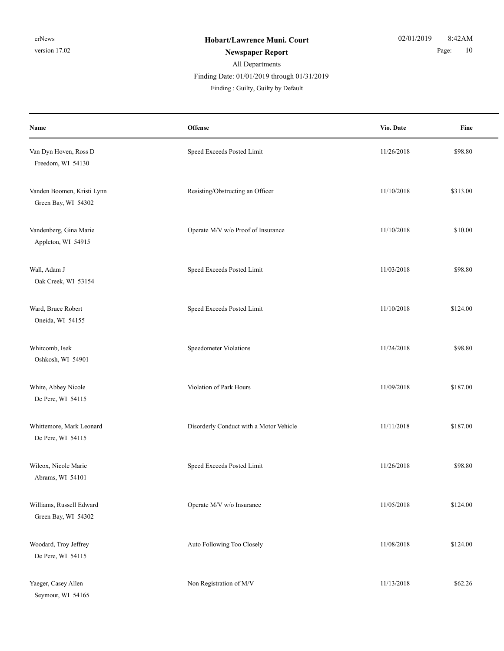| Name                                              | Offense                                 | Vio. Date  | Fine     |
|---------------------------------------------------|-----------------------------------------|------------|----------|
| Van Dyn Hoven, Ross D<br>Freedom, WI 54130        | Speed Exceeds Posted Limit              | 11/26/2018 | \$98.80  |
| Vanden Boomen, Kristi Lynn<br>Green Bay, WI 54302 | Resisting/Obstructing an Officer        | 11/10/2018 | \$313.00 |
| Vandenberg, Gina Marie<br>Appleton, WI 54915      | Operate M/V w/o Proof of Insurance      | 11/10/2018 | \$10.00  |
| Wall, Adam J<br>Oak Creek, WI 53154               | Speed Exceeds Posted Limit              | 11/03/2018 | \$98.80  |
| Ward, Bruce Robert<br>Oneida, WI 54155            | Speed Exceeds Posted Limit              | 11/10/2018 | \$124.00 |
| Whitcomb, Isek<br>Oshkosh, WI 54901               | Speedometer Violations                  | 11/24/2018 | \$98.80  |
| White, Abbey Nicole<br>De Pere, WI 54115          | Violation of Park Hours                 | 11/09/2018 | \$187.00 |
| Whittemore, Mark Leonard<br>De Pere, WI 54115     | Disorderly Conduct with a Motor Vehicle | 11/11/2018 | \$187.00 |
| Wilcox, Nicole Marie<br>Abrams, WI 54101          | Speed Exceeds Posted Limit              | 11/26/2018 | \$98.80  |
| Williams, Russell Edward<br>Green Bay, WI 54302   | Operate M/V w/o Insurance               | 11/05/2018 | \$124.00 |
| Woodard, Troy Jeffrey<br>De Pere, WI 54115        | Auto Following Too Closely              | 11/08/2018 | \$124.00 |
| Yaeger, Casey Allen<br>Seymour, WI 54165          | Non Registration of M/V                 | 11/13/2018 | \$62.26  |